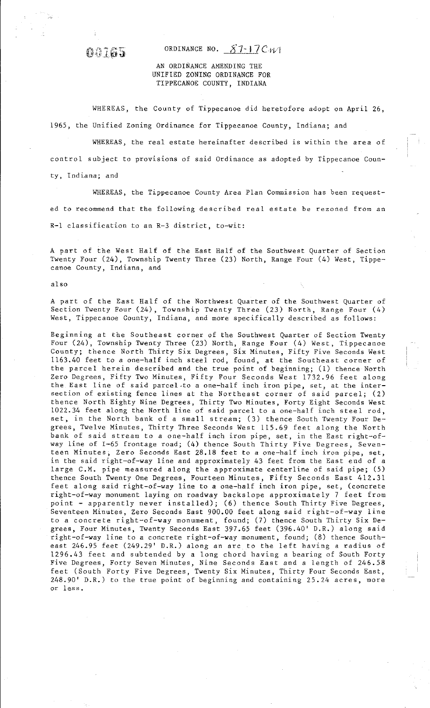## **OQ165** ORDINANCE NO. 87-17CWI

## AN ORDINANCE AMENDING THE UNIFIED ZONING ORDINANCE FOR TIPPECANOE COUNTY, INDIANA

WHEREAS, the County of Tippecanoe did heretofore adopt on April 26, 1965, the Unified Zoning Ordinance for Tippecanoe County, Indiana; and

**WHEREAS, the real estate hereinafter described is within the area of control subject to provisions of said Ordinance as adopted by Tippecanoe County, Indiana; and** 

**WHEREAS, the Tippecanoe County Area Plan Commission has been requested to recommend that the following described real estate be rezoned from an R-1 classification to an R-3 district, to-wit:** 

A part of the West Half of the East Half of the Southwest Quarter of Section Twenty Four (24), Township Twenty Three (23) North, Range Four (4) West, Tippe**canoe County, Indiana, and** 

also

A part of the East Half of the Northwest Quarter of the Southwest Quarter of Section Twenty Four (24), Township Twenty Three (23) North, Range Four (4) **West, Tippecanoe County, Indiana, and more specifically described as follows:** 

**Beginning** *at* **the Southeast corner of the Southwest Quarter of Section Twenty**  Four (24), Township Twenty Three (23) North, Range Four (4) West, Tippecanoe **County; thence North Thirty Six Degrees, Six Minutes, Fifty Five Seconds West**  1163.40 feet to a one-half inch steel rod, found, at the Southeast corner of the parcel herein described and the true point of beginning; (1) thence North Zero Degrees, Fifty Two Minutes, Fifty Four Seconds West 1732.96 feet along **the East line of said parcel.to a one-half inch iron pipe, set, at the intersection of existing fence lines at the Northeast corner of said parcel; (2)**  thence North Eighty Nine Degrees, Thirty Two Minutes, Forty Eight Seconds West 1022.34 feet along the North line of said parcel to a one-half inch steel rod, set, in the North bank of a small stream; (3) thence South Twenty Four Degrees, Twelve Minutes, Thirty Three Seconds West 115.69 feet along the North **bank of said stream to a one-half inch iron pipe, set, in the East right-ofway line of I-65 frontage road; (4) thence South Thirty Five Degrees, Seventeen Minutes, Zero Seconds East 28.18 feet to a one-half inch iron pipe, set,**  in the said right-of-way line and approximately 43 feet from the East end of a large C.M. pipe measured along the approximate centerline of said pipe; (5) thence South Twenty One Degrees, Fourteen Minutes, Fifty Seconds East 412.31 **feet along said right-of-way line to a one-half inch iron pipe, set, (concrete**  right-of-way monument laying on roadway backslope approximately 7 feet from point - apparently never installed); (6) thence South Thirty Five Degrees, Seventeen Minutes, Zero Seconds East 900.00 feet along said right-of-way line to a concrete right-of-way monument, found; (7) thence South Thirty Six Degrees, Four Minutes, Twenty Seconds East 397.65 feet (396.40' D.R.) along said right-of-way line to a concrete right-of-way monument, found; (8) thence Southeast 246.95 feet (249.29' D.R.) along an arc to the left having a radius of 1296.43 feet and subtended by a long chord having a bearing of South Forty Five Degrees, Forty Seven Minutes, Nine Seconds East and a length of 246.58 feet (South Forty Five Degrees, Twenty Six Minutes, Thirty Four Seconds East, **248.90' D.R.) to the true point of beginning and containing 25.24 acres, more or less.**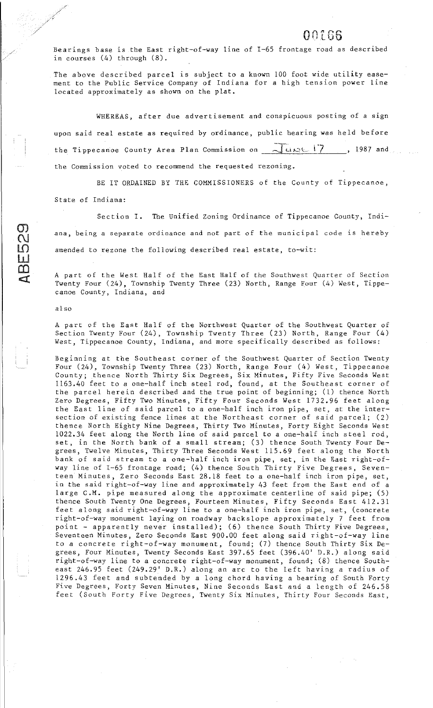## 00166

**Bearings base is the East right-of-way line of I-65 frontage road as described**  in courses (4) through (8).

The above described parcel is subject to a known 100 foot wide utility ease**ment to the Public Service Company of Indiana for a high tension power line**  located approximately as shown on the plat.

**WHEREAS, after due advertisement and conspicuous posting of a sign upon said real estate as required by ordinance, public hearing was held before the Tippecan·oe County Area Plan Commission on** ,.::Yu,\_.:\_,t\_ l'7 , 1987 and **the Connnission voted to reconnnend the requested rezoning.** 

BE IT ORDAINED BY THE COMMISSIONERS of the County of Tippecanoe, State of Indiana:

**Section I. The Unified Zoning Ordinance of Tippecanoe County, Indiana, being a separate ordinance and not part of the municipal code is hereby amended to rezone the following described real estate, to-wit:** 

A part of the West Half of the East Half of the Southwest Quarter of Section Twenty Four (24), Township Twenty Three (23) North, Range Four (4) West, Tippe**canoe County, Indiana, and** 

## **also**

 $\mathcal{Q}_1$  $\mathbf{\Omega}$ 

 $\Box$  $\overline{\mathbf{D}}$  .  $\blacksquare$ 

> A part of the East Half of the Northwest Quarter of the Southwest Quarter of Section Twenty Four (24), Township Twenty Three (23) North, Range Four (4) **West, Tippecanoe County, Indiana, and more specifically described as follows:**

> **Beginning at the Southeast corner of the Southwest Quarter of Section Twenty**  Four (24), Township Twenty Three (23) North, Range Four (4) West, Tippecanoe **County; thence North Thirty Six Degrees, Six Minutes, Fifty Five Seconds West**  1163.40 feet to a one-half inch steel rod, found, at the Southeast corner of the parcel herein described and the true point of beginning; (1) thence North Zero Degrees, Fifty Two Minutes, Fifty Four Seconds West 1732.96 feet along **the East line of said parcel to a one-half inch iron pipe, set, at the intersection of existing fence lines at the Northeast corner of said parcel; (2)**  thence North Eighty Nine Degrees, Thirty Two Minutes, Forty Eight Seconds West 1022.34 feet along the North line of said parcel to a one-half inch steel rod, set, in the North bank of a small stream; (3) thence South Twenty Four Degrees, Twelve Minutes, Thirty Three Seconds West 115.69 feet along the North **bank of said stream to** *a* **one-half inch iron pipe, set, in the East right-of**way line of I-65 frontage road; (4) thence South Thirty Five Degrees, Seven**teen Minutes, Zero Seconds East 28.18 feet to a one-half inch iron pipe, set,**  in the said right-of-way line and approximately 43 feet from the East end of a large C.M. pipe measured along the approximate centerline of said pipe; (5) thence South Twenty One Degrees, Fourteen Minutes, Fifty Seconds East 412.31 **feet along said right-of-way line to a one-half inch iron pipe, set, (concrete**  right-of-way monument laying on roadway backslope approximately 7 feet from point - apparently never installed); (6) thence South Thirty Five Degrees, Seventeen Minutes, Zero Seconds East 900.00 feet along said right-of-way line to a concrete right-of-way monument, found; (7) thence South Thirty Six Degrees, Four Minutes, Twenty Seconds East 397.65 feet (396.40' D.R.) along said right-of-way line to a concrete right-of-way monument, found; (8) thence Southeast 246.95 feet (249.29' D.R.) along an arc to the left having a radius of 1296 .43 feet and subtended by a long chord having a bearing of South Forty **Five Degrees, Forty Seven Minutes, Nine Seconds East and** *a* **length of 246.58 feet (South Forty Five Degrees, Twenty Six Minutes, Thirty Four Seconds East,**